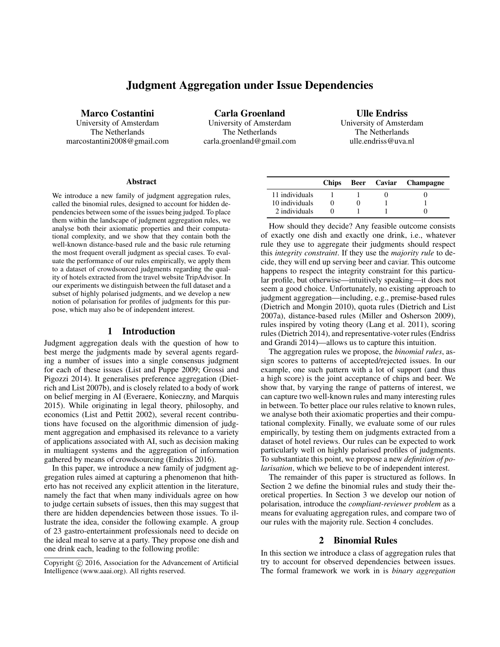# Judgment Aggregation under Issue Dependencies

Marco Costantini

University of Amsterdam The Netherlands marcostantini2008@gmail.com

Carla Groenland University of Amsterdam The Netherlands carla.groenland@gmail.com

Ulle Endriss University of Amsterdam The Netherlands ulle.endriss@uva.nl

#### Abstract

We introduce a new family of judgment aggregation rules, called the binomial rules, designed to account for hidden dependencies between some of the issues being judged. To place them within the landscape of judgment aggregation rules, we analyse both their axiomatic properties and their computational complexity, and we show that they contain both the well-known distance-based rule and the basic rule returning the most frequent overall judgment as special cases. To evaluate the performance of our rules empirically, we apply them to a dataset of crowdsourced judgments regarding the quality of hotels extracted from the travel website TripAdvisor. In our experiments we distinguish between the full dataset and a subset of highly polarised judgments, and we develop a new notion of polarisation for profiles of judgments for this purpose, which may also be of independent interest.

## 1 Introduction

Judgment aggregation deals with the question of how to best merge the judgments made by several agents regarding a number of issues into a single consensus judgment for each of these issues (List and Puppe 2009; Grossi and Pigozzi 2014). It generalises preference aggregation (Dietrich and List 2007b), and is closely related to a body of work on belief merging in AI (Everaere, Konieczny, and Marquis 2015). While originating in legal theory, philosophy, and economics (List and Pettit 2002), several recent contributions have focused on the algorithmic dimension of judgment aggregation and emphasised its relevance to a variety of applications associated with AI, such as decision making in multiagent systems and the aggregation of information gathered by means of crowdsourcing (Endriss 2016).

In this paper, we introduce a new family of judgment aggregation rules aimed at capturing a phenomenon that hitherto has not received any explicit attention in the literature, namely the fact that when many individuals agree on how to judge certain subsets of issues, then this may suggest that there are hidden dependencies between those issues. To illustrate the idea, consider the following example. A group of 23 gastro-entertainment professionals need to decide on the ideal meal to serve at a party. They propose one dish and one drink each, leading to the following profile:

|                | <b>Chips</b> |  | Beer Caviar Champagne |
|----------------|--------------|--|-----------------------|
| 11 individuals |              |  |                       |
| 10 individuals |              |  |                       |
| 2 individuals  |              |  |                       |

How should they decide? Any feasible outcome consists of exactly one dish and exactly one drink, i.e., whatever rule they use to aggregate their judgments should respect this *integrity constraint*. If they use the *majority rule* to decide, they will end up serving beer and caviar. This outcome happens to respect the integrity constraint for this particular profile, but otherwise—intuitively speaking—it does not seem a good choice. Unfortunately, no existing approach to judgment aggregation—including, e.g., premise-based rules (Dietrich and Mongin 2010), quota rules (Dietrich and List 2007a), distance-based rules (Miller and Osherson 2009), rules inspired by voting theory (Lang et al. 2011), scoring rules (Dietrich 2014), and representative-voter rules (Endriss and Grandi 2014)—allows us to capture this intuition.

The aggregation rules we propose, the *binomial rules*, assign scores to patterns of accepted/rejected issues. In our example, one such pattern with a lot of support (and thus a high score) is the joint acceptance of chips and beer. We show that, by varying the range of patterns of interest, we can capture two well-known rules and many interesting rules in between. To better place our rules relative to known rules, we analyse both their axiomatic properties and their computational complexity. Finally, we evaluate some of our rules empirically, by testing them on judgments extracted from a dataset of hotel reviews. Our rules can be expected to work particularly well on highly polarised profiles of judgments. To substantiate this point, we propose a new *definition of polarisation*, which we believe to be of independent interest.

The remainder of this paper is structured as follows. In Section 2 we define the binomial rules and study their theoretical properties. In Section 3 we develop our notion of polarisation, introduce the *compliant-reviewer problem* as a means for evaluating aggregation rules, and compare two of our rules with the majority rule. Section 4 concludes.

# 2 Binomial Rules

In this section we introduce a class of aggregation rules that try to account for observed dependencies between issues. The formal framework we work in is *binary aggregation*

Copyright (c) 2016, Association for the Advancement of Artificial Intelligence (www.aaai.org). All rights reserved.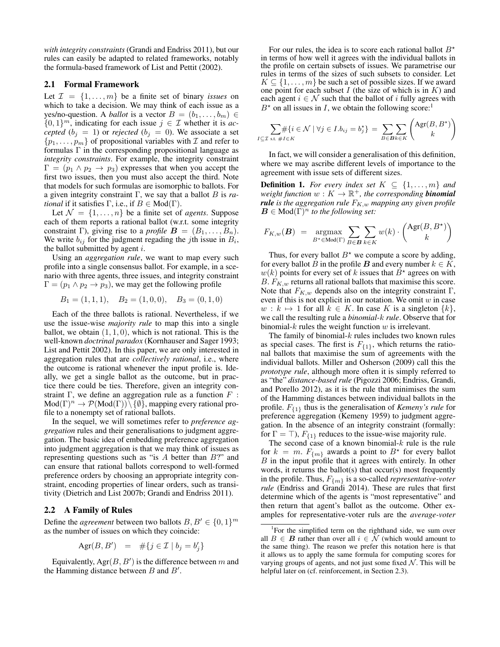*with integrity constraints* (Grandi and Endriss 2011), but our rules can easily be adapted to related frameworks, notably the formula-based framework of List and Pettit (2002).

## 2.1 Formal Framework

Let  $\mathcal{I} = \{1, \ldots, m\}$  be a finite set of binary *issues* on which to take a decision. We may think of each issue as a yes/no-question. A *ballot* is a vector  $B = (b_1, \ldots, b_m) \in$  $\{0,1\}^m$ , indicating for each issue  $j \in \mathcal{I}$  whether it is *accepted* ( $b_j = 1$ ) or *rejected* ( $b_j = 0$ ). We associate a set  $\{p_1, \ldots, p_m\}$  of propositional variables with  $\mathcal I$  and refer to formulas  $\Gamma$  in the corresponding propositional language as *integrity constraints*. For example, the integrity constraint  $\Gamma = (p_1 \wedge p_2 \rightarrow p_3)$  expresses that when you accept the first two issues, then you must also accept the third. Note that models for such formulas are isomorphic to ballots. For a given integrity constraint Γ, we say that a ballot B is *rational* if it satisfies  $\Gamma$ , i.e., if  $B \in Mod(\Gamma)$ .

Let  $\mathcal{N} = \{1, \ldots, n\}$  be a finite set of *agents*. Suppose each of them reports a rational ballot (w.r.t. some integrity constraint Γ), giving rise to a *profile*  $B = (B_1, \ldots, B_n)$ . We write  $b_{ij}$  for the judgment regading the *j*th issue in  $B_i$ , the ballot submitted by agent  $i$ .

Using an *aggregation rule*, we want to map every such profile into a single consensus ballot. For example, in a scenario with three agents, three issues, and integrity constraint  $\Gamma = (p_1 \wedge p_2 \rightarrow p_3)$ , we may get the following profile

$$
B_1 = (1, 1, 1),
$$
  $B_2 = (1, 0, 0),$   $B_3 = (0, 1, 0)$ 

Each of the three ballots is rational. Nevertheless, if we use the issue-wise *majority rule* to map this into a single ballot, we obtain  $(1, 1, 0)$ , which is not rational. This is the well-known *doctrinal paradox* (Kornhauser and Sager 1993; List and Pettit 2002). In this paper, we are only interested in aggregation rules that are *collectively rational*, i.e., where the outcome is rational whenever the input profile is. Ideally, we get a single ballot as the outcome, but in practice there could be ties. Therefore, given an integrity constraint Γ, we define an aggregation rule as a function  $F$ :  $Mod(\Gamma)^n \to \mathcal{P}(Mod(\Gamma)) \setminus \{\emptyset\}$ , mapping every rational profile to a nonempty set of rational ballots.

In the sequel, we will sometimes refer to *preference aggregation* rules and their generalisations to judgment aggregation. The basic idea of embedding preference aggregation into judgment aggregation is that we may think of issues as representing questions such as "is  $A$  better than  $B$ ?" and can ensure that rational ballots correspond to well-formed preference orders by choosing an appropriate integrity constraint, encoding properties of linear orders, such as transitivity (Dietrich and List 2007b; Grandi and Endriss 2011).

## 2.2 A Family of Rules

Define the *agreement* between two ballots  $B, B' \in \{0, 1\}^m$ as the number of issues on which they coincide:

$$
Agr(B, B') = #\{j \in \mathcal{I} \mid b_j = b'_j\}
$$

Equivalently,  $Agr(B, B')$  is the difference between m and the Hamming distance between  $B$  and  $B'$ .

For our rules, the idea is to score each rational ballot  $B^*$ in terms of how well it agrees with the individual ballots in the profile on certain subsets of issues. We parametrise our rules in terms of the sizes of such subsets to consider. Let  $K \subseteq \{1, \ldots, m\}$  be such a set of possible sizes. If we award one point for each subset  $I$  (the size of which is in  $K$ ) and each agent  $i \in \mathcal{N}$  such that the ballot of i fully agrees with  $B^*$  on all issues in I, we obtain the following score:<sup>1</sup>

$$
\sum_{I \subseteq \mathcal{I} \text{ s.t. } \#I \in K} \#\{i \in \mathcal{N} \mid \forall j \in I.b_{ij} = b_j^{\star}\} = \sum_{B \in \mathcal{B}} \sum_{k \in K} \binom{\text{Agr}(B, B^{\star})}{k}
$$

In fact, we will consider a generalisation of this definition, where we may ascribe different levels of importance to the agreement with issue sets of different sizes.

**Definition 1.** For every index set  $K \subseteq \{1, \ldots, m\}$  and  $weight$  function  $w: K \to \mathbb{R}^+$ , the corresponding **binomial** *rule* is the aggregation rule  $F_{K,w}$  *mapping any given profile*  $\mathbf{B} \in \text{Mod}(\Gamma)^n$  *to the following set:* 

$$
F_{K,w}(\mathbf{B}) = \operatorname*{argmax}_{B^* \in \text{Mod}(\Gamma)} \sum_{B \in \mathbf{B}} \sum_{k \in K} w(k) \cdot \binom{\text{Agr}(B, B^*)}{k}
$$

Thus, for every ballot  $B^*$  we compute a score by adding, for every ballot B in the profile B and every number  $k \in K$ ,  $w(k)$  points for every set of k issues that  $B^*$  agrees on with B.  $F_{K,w}$  returns all rational ballots that maximise this score. Note that  $F_{K,w}$  depends also on the integrity constraint  $\Gamma$ , even if this is not explicit in our notation. We omit  $w$  in case  $w : k \mapsto 1$  for all  $k \in K$ . In case K is a singleton  $\{k\},\$ we call the resulting rule a *binomial-*k *rule*. Observe that for binomial- $k$  rules the weight function  $w$  is irrelevant.

The family of binomial- $k$  rules includes two known rules as special cases. The first is  $F_{\{1\}}$ , which returns the rational ballots that maximise the sum of agreements with the individual ballots. Miller and Osherson (2009) call this the *prototype rule*, although more often it is simply referred to as "the" *distance-based rule* (Pigozzi 2006; Endriss, Grandi, and Porello 2012), as it is the rule that minimises the sum of the Hamming distances between individual ballots in the profile. F{1} thus is the generalisation of *Kemeny's rule* for preference aggregation (Kemeny 1959) to judgment aggregation. In the absence of an integrity constraint (formally: for  $\Gamma = \top$ ),  $F_{\{1\}}$  reduces to the issue-wise majority rule.

The second case of a known binomial- $k$  rule is the rule for  $k = m$ .  $F_{\{m\}}$  awards a point to  $B^*$  for every ballot B in the input profile that it agrees with entirely. In other words, it returns the ballot(s) that occur(s) most frequently in the profile. Thus,  $F_{\{m\}}$  is a so-called *representative-voter rule* (Endriss and Grandi 2014). These are rules that first determine which of the agents is "most representative" and then return that agent's ballot as the outcome. Other examples for representative-voter ruls are the *average-voter*

<sup>&</sup>lt;sup>1</sup>For the simplified term on the righthand side, we sum over all  $B \in \mathbf{B}$  rather than over all  $i \in \mathcal{N}$  (which would amount to the same thing). The reason we prefer this notation here is that it allows us to apply the same formula for computing scores for varying groups of agents, and not just some fixed  $N$ . This will be helpful later on (cf. reinforcement, in Section 2.3).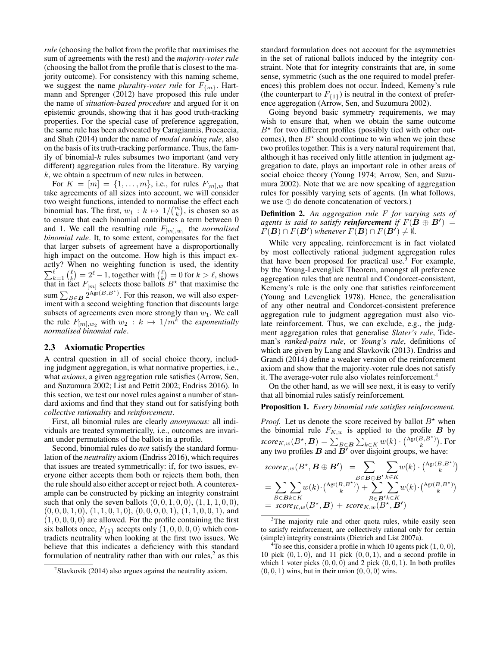*rule* (choosing the ballot from the profile that maximises the sum of agreements with the rest) and the *majority-voter rule* (choosing the ballot from the profile that is closest to the majority outcome). For consistency with this naming scheme, we suggest the name *plurality-voter rule* for  $F_{\{m\}}$ . Hartmann and Sprenger (2012) have proposed this rule under the name of *situation-based procedure* and argued for it on epistemic grounds, showing that it has good truth-tracking properties. For the special case of preference aggregation, the same rule has been advocated by Caragiannis, Procaccia, and Shah (2014) under the name of *modal ranking rule*, also on the basis of its truth-tracking performance. Thus, the family of binomial- $k$  rules subsumes two important (and very different) aggregation rules from the literature. By varying  $k$ , we obtain a spectrum of new rules in between.

For  $K = [m] = \{1, ..., m\}$ , i.e., for rules  $F_{[m],w}$  that take agreements of all sizes into account, we will consider two weight functions, intended to normalise the effect each binomial has. The first,  $w_1 : k \mapsto 1/(k \choose k)$ , is chosen so as to ensure that each binomial contributes a term between 0 and 1. We call the resulting rule  $F_{[m],w_1}$  the *normalised binomial rule*. It, to some extent, compensates for the fact that larger subsets of agreement have a disproportionally high impact on the outcome. How high is this impact exactly? When no weighting function is used, the identity  $\sum_{k=1}^{\ell} {\ell \choose k} = 2^{\ell} - 1$ , together with  ${\ell \choose k} = 0$  for  $k > \ell$ , shows that in fact  $F_{[m]}$  selects those ballots  $B^*$  that maximise the sum  $\sum_{B \in \mathbf{B}} 2^{A_{\text{gr}}(B,B^*)}$ . For this reason, we will also experiment with a second weighting function that discounts large subsets of agreements even more strongly than  $w_1$ . We call the rule  $F_{[m],w_2}$  with  $w_2 : k \mapsto 1/m^k$  the *exponentially normalised binomial rule*.

#### 2.3 Axiomatic Properties

A central question in all of social choice theory, including judgment aggregation, is what normative properties, i.e., what *axioms*, a given aggregation rule satisfies (Arrow, Sen, and Suzumura 2002; List and Pettit 2002; Endriss 2016). In this section, we test our novel rules against a number of standard axioms and find that they stand out for satisfying both *collective rationality* and *reinforcement*.

First, all binomial rules are clearly *anonymous:* all individuals are treated symmetrically, i.e., outcomes are invariant under permutations of the ballots in a profile.

Second, binomial rules do *not* satisfy the standard formulation of the *neutrality* axiom (Endriss 2016), which requires that issues are treated symmetrically: if, for two issues, everyone either accepts them both or rejects them both, then the rule should also either accept or reject both. A counterexample can be constructed by picking an integrity constraint such that only the seven ballots  $(0, 0, 1, 0, 0)$ ,  $(1, 1, 1, 0, 0)$ ,  $(0, 0, 0, 1, 0), (1, 1, 0, 1, 0), (0, 0, 0, 0, 1), (1, 1, 0, 0, 1),$  and  $(1, 0, 0, 0, 0)$  are allowed. For the profile containing the first six ballots once,  $F_{\{1\}}$  accepts only  $(1, 0, 0, 0, 0)$  which contradicts neutrality when looking at the first two issues. We believe that this indicates a deficiency with this standard formulation of neutrality rather than with our rules, $<sup>2</sup>$  as this</sup>

standard formulation does not account for the asymmetries in the set of rational ballots induced by the integrity constraint. Note that for integrity constraints that are, in some sense, symmetric (such as the one required to model preferences) this problem does not occur. Indeed, Kemeny's rule (the counterpart to  $F_{\{1\}}$ ) is neutral in the context of preference aggregation (Arrow, Sen, and Suzumura 2002).

Going beyond basic symmetry requirements, we may wish to ensure that, when we obtain the same outcome  $B^*$  for two different profiles (possibly tied with other outcomes), then  $B^*$  should continue to win when we join these two profiles together. This is a very natural requirement that, although it has received only little attention in judgment aggregation to date, plays an important role in other areas of social choice theory (Young 1974; Arrow, Sen, and Suzumura 2002). Note that we are now speaking of aggregation rules for possibly varying sets of agents. (In what follows, we use ⊕ do denote concatenation of vectors.)

Definition 2. *An aggregation rule* F *for varying sets of agents is said to satisfy reinforcement if*  $F(\mathbf{B} \oplus \mathbf{B}') =$  $\widetilde{F}(\mathbf{B}) \cap F(\mathbf{B'})$  whenever  $F(\mathbf{B}) \cap F(\mathbf{B'}) \neq \emptyset$ .

While very appealing, reinforcement is in fact violated by most collectively rational judgment aggregation rules that have been proposed for practical use.<sup>3</sup> For example, by the Young-Levenglick Theorem, amongst all preference aggregation rules that are neutral and Condorcet-consistent, Kemeny's rule is the only one that satisfies reinforcement (Young and Levenglick 1978). Hence, the generalisation of any other neutral and Condorcet-consistent preference aggregation rule to judgment aggregation must also violate reinforcement. Thus, we can exclude, e.g., the judgment aggregation rules that generalise *Slater's rule*, Tideman's *ranked-pairs rule*, or *Young's rule*, definitions of which are given by Lang and Slavkovik (2013). Endriss and Grandi (2014) define a weaker version of the reinforcement axiom and show that the majority-voter rule does not satisfy it. The average-voter rule also violates reinforcement.<sup>4</sup>

On the other hand, as we will see next, it is easy to verify that all binomial rules satisfy reinforcement.

# Proposition 1. *Every binomial rule satisfies reinforcement.*

*Proof.* Let us denote the score received by ballot  $B^*$  when the binomial rule  $F_{K,w}$  is applied to the profile  $\boldsymbol{B}$  by  $score_{K,w}(B^{\star}, \boldsymbol{B}) = \sum_{B \in \boldsymbol{B}} \sum_{k \in K} w(k) \cdot {Agr(B,B^{\star}) \choose k}$ . For any two profiles  $B$  and  $\overline{B'}$  over disjoint groups, we have:

$$
score_{K,w}(B^{\star}, B \oplus B') = \sum_{B \in B \oplus B'} \sum_{k \in K} w(k) \cdot {Agr(B,B^{\star}) \choose k} = \sum_{B \in Bk \in K} \sum_{k \in K} w(k) \cdot {Agr(B,B^{\star}) \choose k} + \sum_{B \in B'} \sum_{k \in K} w(k) \cdot {Agr(B,B^{\star}) \choose k} = score_{K,w}(B^{\star}, B) + score_{K,w}(B^{\star}, B')
$$

 $2$ Slavkovik (2014) also argues against the neutrality axiom.

<sup>&</sup>lt;sup>3</sup>The majority rule and other quota rules, while easily seen to satisfy reinforcement, are collectively rational only for certain (simple) integrity constraints (Dietrich and List 2007a).

<sup>&</sup>lt;sup>4</sup>To see this, consider a profile in which 10 agents pick  $(1, 0, 0)$ , 10 pick  $(0, 1, 0)$ , and 11 pick  $(0, 0, 1)$ , and a second profile in which 1 voter picks  $(0, 0, 0)$  and 2 pick  $(0, 0, 1)$ . In both profiles  $(0, 0, 1)$  wins, but in their union  $(0, 0, 0)$  wins.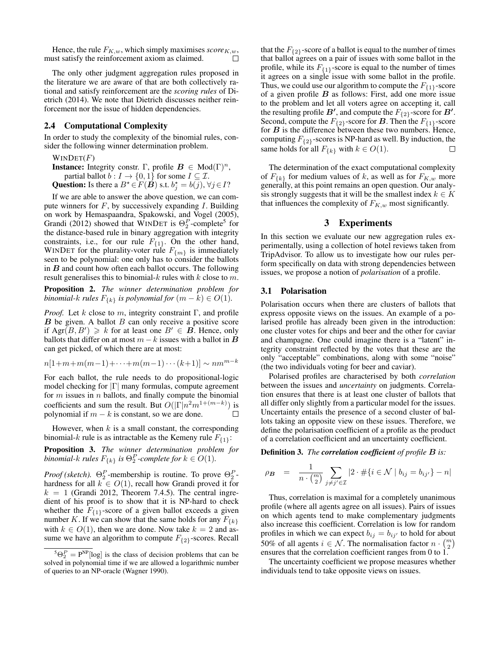Hence, the rule  $F_{K,w}$ , which simply maximises  $score_{K,w}$ , must satisfy the reinforcement axiom as claimed. П

The only other judgment aggregation rules proposed in the literature we are aware of that are both collectively rational and satisfy reinforcement are the *scoring rules* of Dietrich (2014). We note that Dietrich discusses neither reinforcement nor the issue of hidden dependencies.

## 2.4 Computational Complexity

In order to study the complexity of the binomial rules, consider the following winner determination problem.

## $WINDET(F)$

**Instance:** Integrity constr. Γ, profile  $B \in Mod(\Gamma)^n$ , partial ballot  $b: I \to \{0, 1\}$  for some  $I \subseteq \mathcal{I}$ . **Question:** Is there a  $B^* \in F(\tilde{B})$  s.t.  $b_j^* = b(j)$ ,  $\forall j \in I$ ?

If we are able to answer the above question, we can compute winners for  $F$ , by successively expanding  $I$ . Building on work by Hemaspaandra, Spakowski, and Vogel (2005), Grandi (2012) showed that WINDET is  $\Theta_2^P$ -complete<sup>5</sup> for the distance-based rule in binary aggregation with integrity constraints, i.e., for our rule  $F_{\{1\}}$ . On the other hand, WINDET for the plurality-voter rule  $F_{\{m\}}$  is immediately seen to be polynomial: one only has to consider the ballots in  $B$  and count how often each ballot occurs. The following result generalises this to binomial- $k$  rules with  $k$  close to  $m$ .

Proposition 2. *The winner determination problem for binomial-k rules*  $F_{\{k\}}$  *is polynomial for*  $(m - k) \in O(1)$ *.* 

*Proof.* Let k close to m, integrity constraint  $\Gamma$ , and profile  $B$  be given. A ballot  $B$  can only receive a positive score if  $Arg(B, B') \ge k$  for at least one  $B' \in \mathbf{B}$ . Hence, only ballots that differ on at most  $m - k$  issues with a ballot in  $\bf{B}$ can get picked, of which there are at most:

$$
n[1+m+m(m-1)+\cdots+m(m-1)\cdots(k+1)] \sim nm^{m-k}
$$

For each ballot, the rule needs to do propositional-logic model checking for  $|\Gamma|$  many formulas, compute agreement for  $m$  issues in  $n$  ballots, and finally compute the binomial coefficients and sum the result. But  $O(|\Gamma|n^2m^{1+(m-k)})$  is polynomial if  $m - k$  is constant, so we are done. П

However, when  $k$  is a small constant, the corresponding binomial-k rule is as intractable as the Kemeny rule  $F_{\{1\}}$ :

Proposition 3. *The winner determination problem for binomial-k rules*  $F_{\{k\}}$  *is*  $\Theta_2^P$ -complete for  $k \in O(1)$ .

*Proof (sketch).*  $\Theta_2^P$ -membership is routine. To prove  $\Theta_2^P$ hardness for all  $k \in O(1)$ , recall how Grandi proved it for  $k = 1$  (Grandi 2012, Theorem 7.4.5). The central ingredient of his proof is to show that it is NP-hard to check whether the  $F_{\{1\}}$ -score of a given ballot exceeds a given number K. If we can show that the same holds for any  $F_{\{k\}}$ with  $k \in O(1)$ , then we are done. Now take  $k = 2$  and assume we have an algorithm to compute  $F_{\{2\}}$ -scores. Recall

that the  $F_{\{2\}}$ -score of a ballot is equal to the number of times that ballot agrees on a pair of issues with some ballot in the profile, while its  $F_{\{1\}}$ -score is equal to the number of times it agrees on a single issue with some ballot in the profile. Thus, we could use our algorithm to compute the  $F_{\{1\}}$ -score of a given profile  $B$  as follows: First, add one more issue to the problem and let all voters agree on accepting it, call the resulting profile B', and compute the  $F_{\{2\}}$ -score for B'. Second, compute the  $F_{\{2\}}$ -score for **B**. Then the  $F_{\{1\}}$ -score for  $B$  is the difference between these two numbers. Hence, computing  $F_{\{2\}}$ -scores is NP-hard as well. By induction, the same holds for all  $F_{\{k\}}$  with  $k \in O(1)$ .

The determination of the exact computational complexity of  $F_{\{k\}}$  for medium values of k, as well as for  $F_{K,w}$  more generally, at this point remains an open question. Our analysis strongly suggests that it will be the smallest index  $k \in K$ that influences the complexity of  $F_{K,w}$  most significantly.

## 3 Experiments

In this section we evaluate our new aggregation rules experimentally, using a collection of hotel reviews taken from TripAdvisor. To allow us to investigate how our rules perform specifically on data with strong dependencies between issues, we propose a notion of *polarisation* of a profile.

#### 3.1 Polarisation

Polarisation occurs when there are clusters of ballots that express opposite views on the issues. An example of a polarised profile has already been given in the introduction: one cluster votes for chips and beer and the other for caviar and champagne. One could imagine there is a "latent" integrity constraint reflected by the votes that these are the only "acceptable" combinations, along with some "noise" (the two individuals voting for beer and caviar).

Polarised profiles are characterised by both *correlation* between the issues and *uncertainty* on judgments. Correlation ensures that there is at least one cluster of ballots that all differ only slightly from a particular model for the issues. Uncertainty entails the presence of a second cluster of ballots taking an opposite view on these issues. Therefore, we define the polarisation coefficient of a profile as the product of a correlation coefficient and an uncertainty coefficient.

Definition 3. *The correlation coefficient of profile* B *is:*

$$
\rho_{\mathbf{B}} = \frac{1}{n \cdot {m \choose 2}} \sum_{j \neq j' \in \mathcal{I}} |2 \cdot \#\{i \in \mathcal{N} \mid b_{ij} = b_{ij'}\} - n|
$$

Thus, correlation is maximal for a completely unanimous profile (where all agents agree on all issues). Pairs of issues on which agents tend to make complementary judgments also increase this coefficient. Correlation is low for random profiles in which we can expect  $b_{ij} = b_{ij}$  to hold for about 50% of all agents  $i \in \mathcal{N}$ . The normalisation factor  $n \cdot {m \choose 2}$ ensures that the correlation coefficient ranges from 0 to 1.

The uncertainty coefficient we propose measures whether individuals tend to take opposite views on issues.

 ${}^5\Theta_2^P = P^{NP}[\log]$  is the class of decision problems that can be solved in polynomial time if we are allowed a logarithmic number of queries to an NP-oracle (Wagner 1990).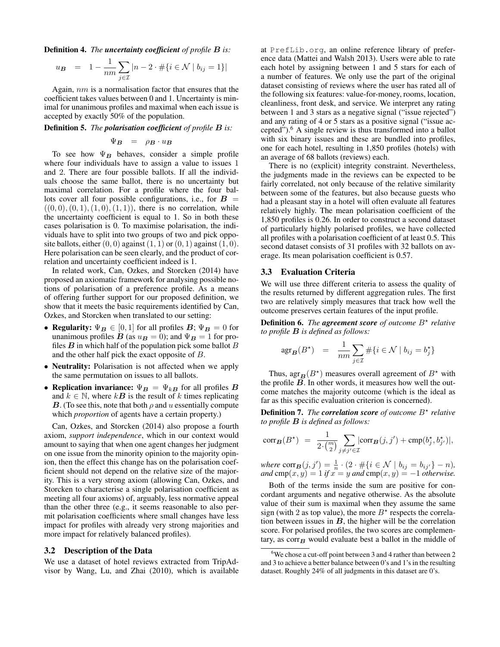Definition 4. *The uncertainty coefficient of profile* B *is:*

$$
u_{\mathbf{B}} = 1 - \frac{1}{nm} \sum_{j \in \mathcal{I}} |n - 2 \cdot \# \{ i \in \mathcal{N} \mid b_{ij} = 1 \} |
$$

Again, nm is a normalisation factor that ensures that the coefficient takes values between 0 and 1. Uncertainty is minimal for unanimous profiles and maximal when each issue is accepted by exactly 50% of the population.

Definition 5. *The polarisation coefficient of profile* B *is:*

$$
\Psi_B = \rho_B \cdot u_B
$$

To see how  $\Psi_B$  behaves, consider a simple profile where four individuals have to assign a value to issues 1 and 2. There are four possible ballots. If all the individuals choose the same ballot, there is no uncertainty but maximal correlation. For a profile where the four ballots cover all four possible configurations, i.e., for  $B =$  $((0, 0), (0, 1), (1, 0), (1, 1))$ , there is no correlation, while the uncertainty coefficient is equal to 1. So in both these cases polarisation is 0. To maximise polarisation, the individuals have to split into two groups of two and pick opposite ballots, either  $(0, 0)$  against  $(1, 1)$  or  $(0, 1)$  against  $(1, 0)$ . Here polarisation can be seen clearly, and the product of correlation and uncertainty coefficient indeed is 1.

In related work, Can, Ozkes, and Storcken (2014) have proposed an axiomatic framework for analysing possible notions of polarisation of a preference profile. As a means of offering further support for our proposed definition, we show that it meets the basic requirements identified by Can, Ozkes, and Storcken when translated to our setting:

- Regularity:  $\Psi_B \in [0, 1]$  for all profiles  $B$ ;  $\Psi_B = 0$  for unanimous profiles  $\boldsymbol{B}$  (as  $u_{\boldsymbol{B}} = 0$ ); and  $\Psi_{\boldsymbol{B}} = 1$  for profiles  $B$  in which half of the population pick some ballot  $B$ and the other half pick the exact opposite of B.
- Neutrality: Polarisation is not affected when we apply the same permutation on issues to all ballots.
- Replication invariance:  $\Psi_B = \Psi_{kB}$  for all profiles B and  $k \in \mathbb{N}$ , where  $k\mathbf{B}$  is the result of k times replicating **B**. (To see this, note that both  $\rho$  and u essentially compute which *proportion* of agents have a certain property.)

Can, Ozkes, and Storcken (2014) also propose a fourth axiom, *support independence*, which in our context would amount to saying that when one agent changes her judgment on one issue from the minority opinion to the majority opinion, then the effect this change has on the polarisation coefficient should not depend on the relative size of the majority. This is a very strong axiom (allowing Can, Ozkes, and Storcken to characterise a single polarisation coefficient as meeting all four axioms) of, arguably, less normative appeal than the other three (e.g., it seems reasonable to also permit polarisation coefficients where small changes have less impact for profiles with already very strong majorities and more impact for relatively balanced profiles).

### 3.2 Description of the Data

We use a dataset of hotel reviews extracted from TripAdvisor by Wang, Lu, and Zhai (2010), which is available at PrefLib.org, an online reference library of preference data (Mattei and Walsh 2013). Users were able to rate each hotel by assigning between 1 and 5 stars for each of a number of features. We only use the part of the original dataset consisting of reviews where the user has rated all of the following six features: value-for-money, rooms, location, cleanliness, front desk, and service. We interpret any rating between 1 and 3 stars as a negative signal ("issue rejected") and any rating of 4 or 5 stars as a positive signal ("issue accepted").<sup>6</sup> A single review is thus transformed into a ballot with six binary issues and these are bundled into profiles, one for each hotel, resulting in 1,850 profiles (hotels) with an average of 68 ballots (reviews) each.

There is no (explicit) integrity constraint. Nevertheless, the judgments made in the reviews can be expected to be fairly correlated, not only because of the relative similarity between some of the features, but also because guests who had a pleasant stay in a hotel will often evaluate all features relatively highly. The mean polarisation coefficient of the 1,850 profiles is 0.26. In order to construct a second dataset of particularly highly polarised profiles, we have collected all profiles with a polarisation coefficient of at least 0.5. This second dataset consists of 31 profiles with 32 ballots on average. Its mean polarisation coefficient is 0.57.

#### 3.3 Evaluation Criteria

We will use three different criteria to assess the quality of the results returned by different aggregation rules. The first two are relatively simply measures that track how well the outcome preserves certain features of the input profile.

Definition 6. The agreement score of outcome  $B^*$  relative *to profile* B *is defined as follows:*

$$
\arg \mathbf{g}(B^{\star}) = \frac{1}{nm} \sum_{j \in \mathcal{I}} \# \{ i \in \mathcal{N} \mid b_{ij} = b_j^{\star} \}
$$

Thus,  $\arg_{\mathbf{B}}(B^*)$  measures overall agreement of  $B^*$  with the profile  $\overline{B}$ . In other words, it measures how well the outcome matches the majority outcome (which is the ideal as far as this specific evaluation criterion is concerned).

**Definition 7.** The *correlation* score of outcome  $B^*$  relative *to profile* B *is defined as follows:*

$$
\mathrm{corr}_{\mathbf{B}}(B^\star) \ = \ \frac{1}{2 \cdot {m \choose 2}} \sum_{j \neq j' \in \mathcal{I}} |\mathrm{corr}_{\mathbf{B}}(j,j') + \mathrm{cmp}(b_j^\star,b_{j'}^\star)|,
$$

 $where \space corr_{\boldsymbol{B}}(j, j') = \frac{1}{n} \cdot (2 \cdot \#\{i \in \mathcal{N} \mid b_{ij} = b_{ij'}\} - n),$  $and \, \text{cmp}(x, y) = 1 \, \text{if } x = y \, \text{and} \, \text{cmp}(x, y) = -1 \, \text{otherwise.}$ 

Both of the terms inside the sum are positive for concordant arguments and negative otherwise. As the absolute value of their sum is maximal when they assume the same sign (with 2 as top value), the more  $B^*$  respects the correlation between issues in  $B$ , the higher will be the correlation score. For polarised profiles, the two scores are complementary, as  $corr_B$  would evaluate best a ballot in the middle of

 $6$ We chose a cut-off point between 3 and 4 rather than between 2 and 3 to achieve a better balance between 0's and 1's in the resulting dataset. Roughly 24% of all judgments in this dataset are 0's.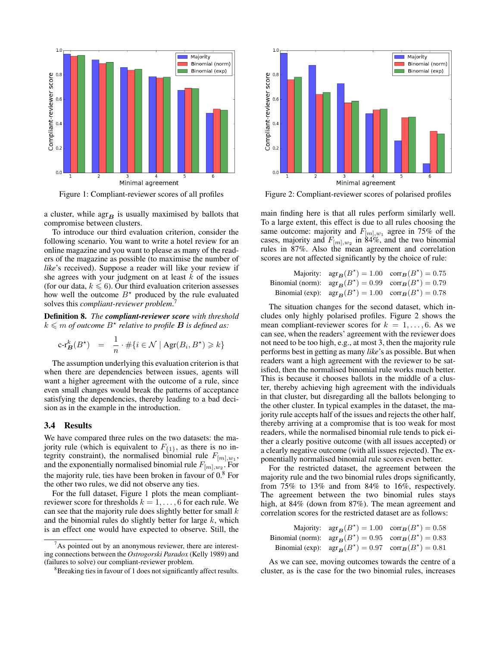

Figure 1: Compliant-reviewer scores of all profiles

a cluster, while  $\arg_{\mathbf{B}}$  is usually maximised by ballots that compromise between clusters.

To introduce our third evaluation criterion, consider the following scenario. You want to write a hotel review for an online magazine and you want to please as many of the readers of the magazine as possible (to maximise the number of *like*'s received). Suppose a reader will like your review if she agrees with your judgment on at least  $k$  of the issues (for our data,  $k \le 6$ ). Our third evaluation criterion assesses how well the outcome  $B^*$  produced by the rule evaluated solves this *compliant-reviewer problem*. 7

Definition 8. *The compliant-reviewer score with threshold*  $k \leqslant m$  of outcome  $B^{\star}$  relative to profile **B** is defined as:

$$
\operatorname{c-r}^k_{\operatorname{\mathbf{B}}}(B^\star) \quad = \quad \frac{1}{n} \cdot \#\{i \in \mathcal{N} \mid \operatorname{Agr}(B_i, B^\star) \geq k\}
$$

The assumption underlying this evaluation criterion is that when there are dependencies between issues, agents will want a higher agreement with the outcome of a rule, since even small changes would break the patterns of acceptance satisfying the dependencies, thereby leading to a bad decision as in the example in the introduction.

#### 3.4 Results

We have compared three rules on the two datasets: the majority rule (which is equivalent to  $F_{\{1\}}$ , as there is no integrity constraint), the normalised binomial rule  $F_{[m],w_1}$ , and the exponentially normalised binomial rule  $F_{[m],w_2}$ . For the majority rule, ties have been broken in favour of 0.<sup>8</sup> For the other two rules, we did not observe any ties.

For the full dataset, Figure 1 plots the mean compliantreviewer score for thresholds  $k = 1, \ldots, 6$  for each rule. We can see that the majority rule does slightly better for small  $k$ and the binomial rules do slightly better for large  $k$ , which is an effect one would have expected to observe. Still, the



Figure 2: Compliant-reviewer scores of polarised profiles

main finding here is that all rules perform similarly well. To a large extent, this effect is due to all rules choosing the same outcome: majority and  $F_{[m], w_1}$  agree in 75% of the cases, majority and  $F_{[m],w_2}$  in 84%, and the two binomial rules in 87%. Also the mean agreement and correlation scores are not affected significantly by the choice of rule:

| Majority: $\arg_{\mathbf{B}}(B^*) = 1.00 \text{ corr}_{\mathbf{B}}(B^*) = 0.75$                 |  |
|-------------------------------------------------------------------------------------------------|--|
| Binomial (norm): $\arg_{\mathbf{B}}(B^*) = 0.99$ $\operatorname{corr}_{\mathbf{B}}(B^*) = 0.79$ |  |
| Binomial (exp): $\arg_{\mathbf{B}}(B^*) = 1.00 \text{ corr}_{\mathbf{B}}(B^*) = 0.78$           |  |

The situation changes for the second dataset, which includes only highly polarised profiles. Figure 2 shows the mean compliant-reviewer scores for  $k = 1, \ldots, 6$ . As we can see, when the readers' agreement with the reviewer does not need to be too high, e.g., at most 3, then the majority rule performs best in getting as many *like*'s as possible. But when readers want a high agreement with the reviewer to be satisfied, then the normalised binomial rule works much better. This is because it chooses ballots in the middle of a cluster, thereby achieving high agreement with the individuals in that cluster, but disregarding all the ballots belonging to the other cluster. In typical examples in the dataset, the majority rule accepts half of the issues and rejects the other half, thereby arriving at a compromise that is too weak for most readers, while the normalised binomial rule tends to pick either a clearly positive outcome (with all issues accepted) or a clearly negative outcome (with all issues rejected). The exponentially normalised binomial rule scores even better.

For the restricted dataset, the agreement between the majority rule and the two binomial rules drops significantly, from 75% to 13% and from 84% to 16%, respectively. The agreement between the two binomial rules stays high, at 84% (down from 87%). The mean agreement and correlation scores for the restricted dataset are as follows:

| Majority: $\arg_{\mathbf{B}}(B^*) = 1.00 \text{ corr}_{\mathbf{B}}(B^*) = 0.58$                |  |
|------------------------------------------------------------------------------------------------|--|
| Binomial (norm): $\arg_{\mathbf{B}}(B^*) = 0.95$ corr $_{\mathbf{B}}(B^*) = 0.83$              |  |
| Binomial (exp): $\arg_{\mathbf{B}}(B^*) = 0.97$ $\operatorname{corr}_{\mathbf{B}}(B^*) = 0.81$ |  |

As we can see, moving outcomes towards the centre of a cluster, as is the case for the two binomial rules, increases

 $7As$  pointed out by an anonymous reviewer, there are interesting connections between the *Ostrogorski Paradox* (Kelly 1989) and (failures to solve) our compliant-reviewer problem.

<sup>&</sup>lt;sup>8</sup>Breaking ties in favour of 1 does not significantly affect results.